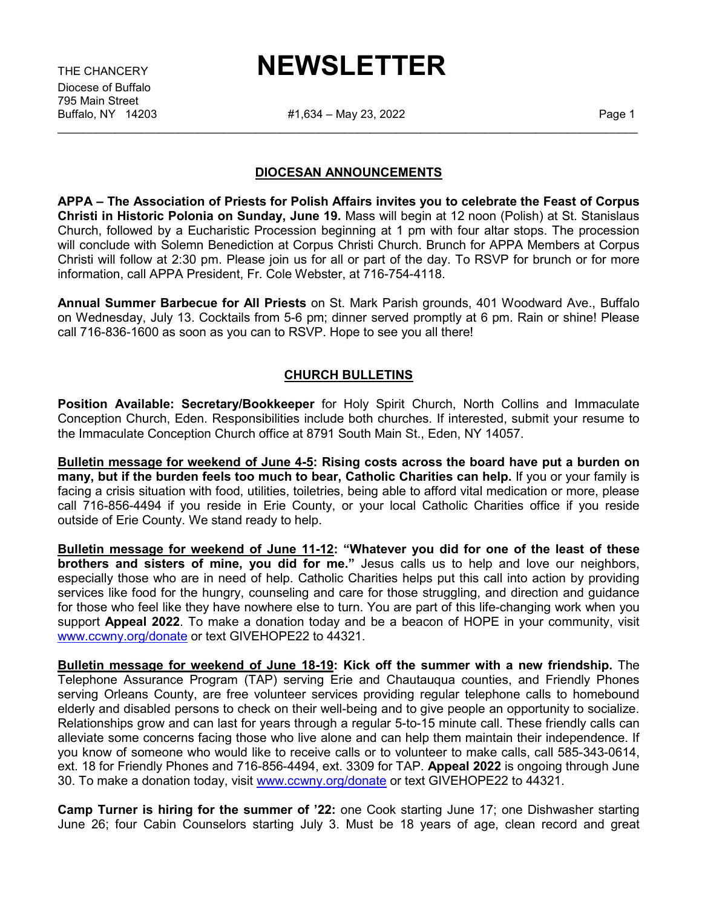Diocese of Buffalo 795 Main Street

## THE CHANCERY **NEWSLETTER**

#1,634 – May 23, 2022 **Page 1** \_\_\_\_\_\_\_\_\_\_\_\_\_\_\_\_\_\_\_\_\_\_\_\_\_\_\_\_\_\_\_\_\_\_\_\_\_\_\_\_\_\_\_\_\_\_\_\_\_\_\_\_\_\_\_\_\_\_\_\_\_\_\_\_\_\_\_\_\_\_\_\_\_\_\_\_\_\_\_\_\_\_\_\_\_\_\_\_\_\_\_

## **DIOCESAN ANNOUNCEMENTS**

**APPA – The Association of Priests for Polish Affairs invites you to celebrate the Feast of Corpus Christi in Historic Polonia on Sunday, June 19.** Mass will begin at 12 noon (Polish) at St. Stanislaus Church, followed by a Eucharistic Procession beginning at 1 pm with four altar stops. The procession will conclude with Solemn Benediction at Corpus Christi Church. Brunch for APPA Members at Corpus Christi will follow at 2:30 pm. Please join us for all or part of the day. To RSVP for brunch or for more information, call APPA President, Fr. Cole Webster, at 716-754-4118.

**Annual Summer Barbecue for All Priests** on St. Mark Parish grounds, 401 Woodward Ave., Buffalo on Wednesday, July 13. Cocktails from 5-6 pm; dinner served promptly at 6 pm. Rain or shine! Please call 716-836-1600 as soon as you can to RSVP. Hope to see you all there!

## **CHURCH BULLETINS**

**Position Available: Secretary/Bookkeeper** for Holy Spirit Church, North Collins and Immaculate Conception Church, Eden. Responsibilities include both churches. If interested, submit your resume to the Immaculate Conception Church office at 8791 South Main St., Eden, NY 14057.

**Bulletin message for weekend of June 4-5: Rising costs across the board have put a burden on many, but if the burden feels too much to bear, Catholic Charities can help.** If you or your family is facing a crisis situation with food, utilities, toiletries, being able to afford vital medication or more, please call 716-856-4494 if you reside in Erie County, or your local Catholic Charities office if you reside outside of Erie County. We stand ready to help.

**Bulletin message for weekend of June 11-12: "Whatever you did for one of the least of these brothers and sisters of mine, you did for me."** Jesus calls us to help and love our neighbors, especially those who are in need of help. Catholic Charities helps put this call into action by providing services like food for the hungry, counseling and care for those struggling, and direction and guidance for those who feel like they have nowhere else to turn. You are part of this life-changing work when you support **Appeal 2022**. To make a donation today and be a beacon of HOPE in your community, visit [www.ccwny.org/donate](http://www.ccwny.org/donate) or text GIVEHOPE22 to 44321.

**Bulletin message for weekend of June 18-19: Kick off the summer with a new friendship.** The Telephone Assurance Program (TAP) serving Erie and Chautauqua counties, and Friendly Phones serving Orleans County, are free volunteer services providing regular telephone calls to homebound elderly and disabled persons to check on their well-being and to give people an opportunity to socialize. Relationships grow and can last for years through a regular 5-to-15 minute call. These friendly calls can alleviate some concerns facing those who live alone and can help them maintain their independence. If you know of someone who would like to receive calls or to volunteer to make calls, call 585-343-0614, ext. 18 for Friendly Phones and 716-856-4494, ext. 3309 for TAP. **Appeal 2022** is ongoing through June 30. To make a donation today, visit [www.ccwny.org/donate](http://www.ccwny.org/donate) or text GIVEHOPE22 to 44321.

**Camp Turner is hiring for the summer of '22:** one Cook starting June 17; one Dishwasher starting June 26; four Cabin Counselors starting July 3. Must be 18 years of age, clean record and great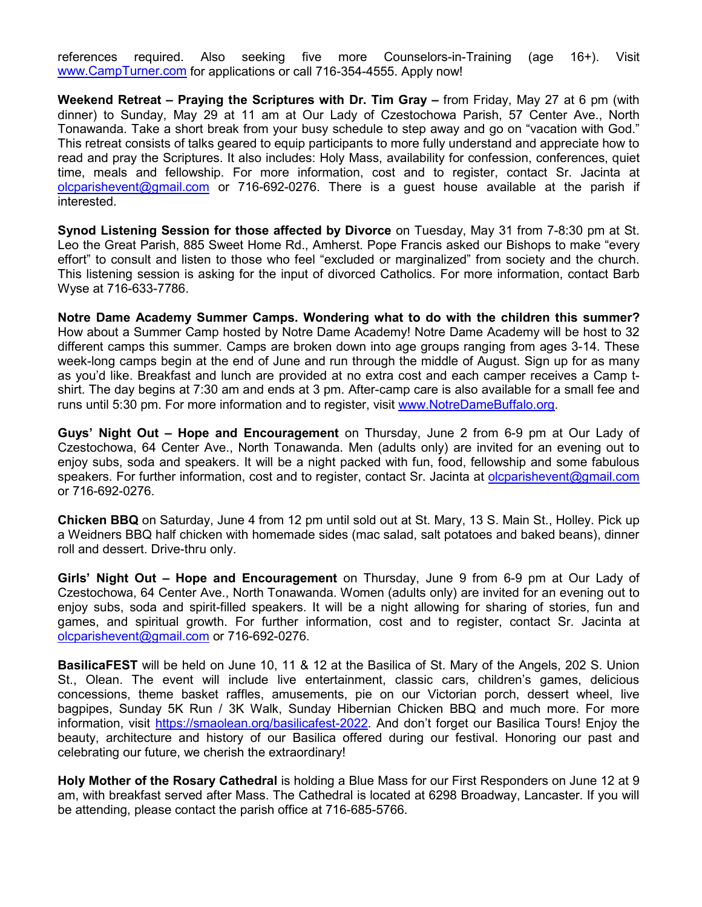references required. Also seeking five more Counselors-in-Training (age 16+). Visit [www.CampTurner.com](http://www.campturner.com/) for applications or call 716-354-4555. Apply now!

**Weekend Retreat – Praying the Scriptures with Dr. Tim Gray –** from Friday, May 27 at 6 pm (with dinner) to Sunday, May 29 at 11 am at Our Lady of Czestochowa Parish, 57 Center Ave., North Tonawanda. Take a short break from your busy schedule to step away and go on "vacation with God." This retreat consists of talks geared to equip participants to more fully understand and appreciate how to read and pray the Scriptures. It also includes: Holy Mass, availability for confession, conferences, quiet time, meals and fellowship. For more information, cost and to register, contact Sr. Jacinta at [olcparishevent@gmail.com](mailto:olcparishevent@gmail.com) or 716-692-0276. There is a guest house available at the parish if interested.

**Synod Listening Session for those affected by Divorce** on Tuesday, May 31 from 7-8:30 pm at St. Leo the Great Parish, 885 Sweet Home Rd., Amherst. Pope Francis asked our Bishops to make "every effort" to consult and listen to those who feel "excluded or marginalized" from society and the church. This listening session is asking for the input of divorced Catholics. For more information, contact Barb Wyse at 716-633-7786.

**Notre Dame Academy Summer Camps. Wondering what to do with the children this summer?** How about a Summer Camp hosted by Notre Dame Academy! Notre Dame Academy will be host to 32 different camps this summer. Camps are broken down into age groups ranging from ages 3-14. These week-long camps begin at the end of June and run through the middle of August. Sign up for as many as you'd like. Breakfast and lunch are provided at no extra cost and each camper receives a Camp tshirt. The day begins at 7:30 am and ends at 3 pm. After-camp care is also available for a small fee and runs until 5:30 pm. For more information and to register, visit [www.NotreDameBuffalo.org.](http://www.notredamebuffalo.org/)

**Guys' Night Out – Hope and Encouragement** on Thursday, June 2 from 6-9 pm at Our Lady of Czestochowa, 64 Center Ave., North Tonawanda. Men (adults only) are invited for an evening out to enjoy subs, soda and speakers. It will be a night packed with fun, food, fellowship and some fabulous speakers. For further information, cost and to register, contact Sr. Jacinta at [olcparishevent@gmail.com](mailto:olcparishevent@gmail.com) or 716-692-0276.

**Chicken BBQ** on Saturday, June 4 from 12 pm until sold out at St. Mary, 13 S. Main St., Holley. Pick up a Weidners BBQ half chicken with homemade sides (mac salad, salt potatoes and baked beans), dinner roll and dessert. Drive-thru only.

**Girls' Night Out – Hope and Encouragement** on Thursday, June 9 from 6-9 pm at Our Lady of Czestochowa, 64 Center Ave., North Tonawanda. Women (adults only) are invited for an evening out to enjoy subs, soda and spirit-filled speakers. It will be a night allowing for sharing of stories, fun and games, and spiritual growth. For further information, cost and to register, contact Sr. Jacinta at [olcparishevent@gmail.com](mailto:olcparishevent@gmail.com) or 716-692-0276.

**BasilicaFEST** will be held on June 10, 11 & 12 at the Basilica of St. Mary of the Angels, 202 S. Union St., Olean. The event will include live entertainment, classic cars, children's games, delicious concessions, theme basket raffles, amusements, pie on our Victorian porch, dessert wheel, live bagpipes, Sunday 5K Run / 3K Walk, Sunday Hibernian Chicken BBQ and much more. For more information, visit [https://smaolean.org/basilicafest-2022.](https://smaolean.org/basilicafest-2022) And don't forget our Basilica Tours! Enjoy the beauty, architecture and history of our Basilica offered during our festival. Honoring our past and celebrating our future, we cherish the extraordinary!

**Holy Mother of the Rosary Cathedral** is holding a Blue Mass for our First Responders on June 12 at 9 am, with breakfast served after Mass. The Cathedral is located at 6298 Broadway, Lancaster. If you will be attending, please contact the parish office at 716-685-5766.